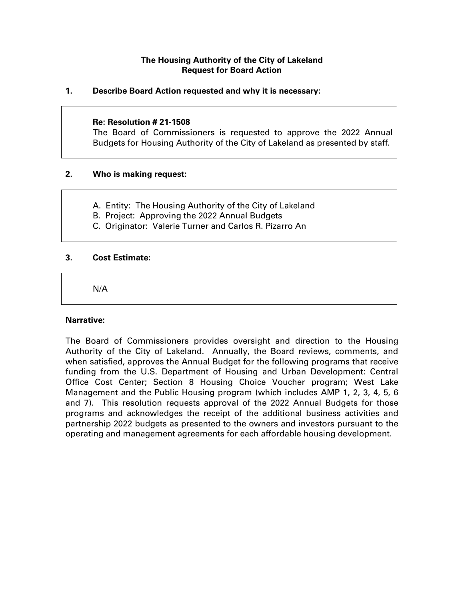# **The Housing Authority of the City of Lakeland Request for Board Action**

## **1. Describe Board Action requested and why it is necessary:**

#### **Re: Resolution # 21-1508**

The Board of Commissioners is requested to approve the 2022 Annual Budgets for Housing Authority of the City of Lakeland as presented by staff.

## **2. Who is making request:**

- A. Entity: The Housing Authority of the City of Lakeland
- B. Project: Approving the 2022 Annual Budgets
- C. Originator: Valerie Turner and Carlos R. Pizarro An

### **3. Cost Estimate:**

N/A

#### **Narrative:**

The Board of Commissioners provides oversight and direction to the Housing Authority of the City of Lakeland. Annually, the Board reviews, comments, and when satisfied, approves the Annual Budget for the following programs that receive funding from the U.S. Department of Housing and Urban Development: Central Office Cost Center; Section 8 Housing Choice Voucher program; West Lake Management and the Public Housing program (which includes AMP 1, 2, 3, 4, 5, 6 and 7). This resolution requests approval of the 2022 Annual Budgets for those programs and acknowledges the receipt of the additional business activities and partnership 2022 budgets as presented to the owners and investors pursuant to the operating and management agreements for each affordable housing development.